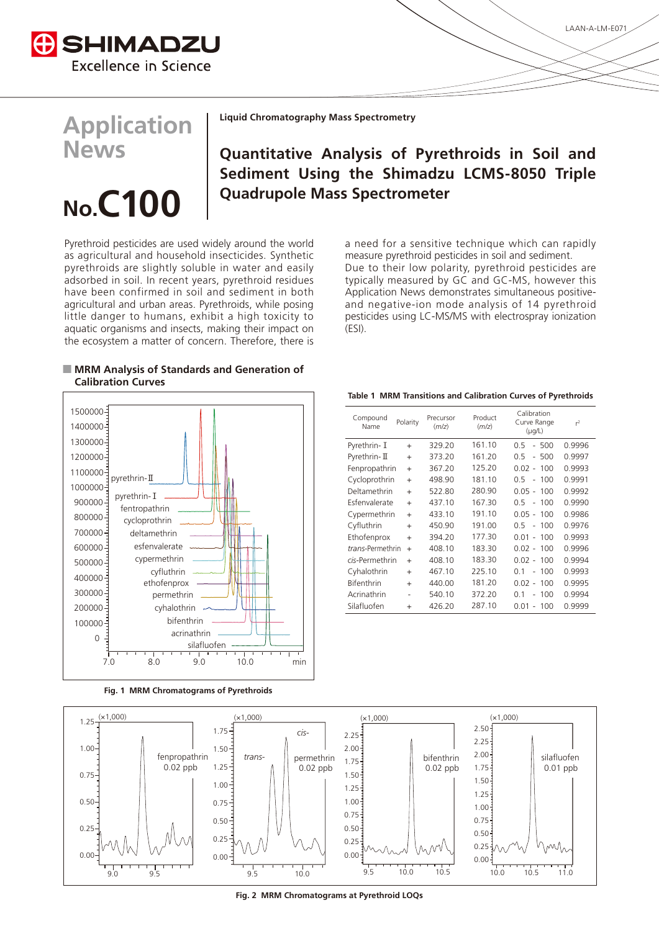

## **Application News**

# **No.C100**

**Liquid Chromatography Mass Spectrometry** 

### **Quantitative Analysis of Pyrethroids in Soil and Sediment Using the Shimadzu LCMS-8050 Triple Quadrupole Mass Spectrometer**

Pyrethroid pesticides are used widely around the world as agricultural and household insecticides. Synthetic pyrethroids are slightly soluble in water and easily adsorbed in soil. In recent years, pyrethroid residues have been confirmed in soil and sediment in both agricultural and urban areas. Pyrethroids, while posing little danger to humans, exhibit a high toxicity to aquatic organisms and insects, making their impact on the ecosystem a matter of concern. Therefore, there is

a need for a sensitive technique which can rapidly measure pyrethroid pesticides in soil and sediment. Due to their low polarity, pyrethroid pesticides are typically measured by GC and GC-MS, however this Application News demonstrates simultaneous positive-<br>and-negative-ion-mode analysis of 14 pyrethroid pesticides using LC-MS/MS with electrospray ionization  $(ESI)$ .

#### $\blacksquare$  **MRM Analysis of Standards and Generation of Calibration** Curves

7.0 8.0 9.0 10.0 min  $\Omega$ 100000  $200000 -$ 300000 400000 500000 600000 700000 800000- $900000 -$ 1000000-1100000 1200000  $1300000 -$ 1400000<sup>-</sup> 1500000pyrethrin-II pyrethrin-I fentropathrin cycloprothrin deltamethrin esfenvalerate cypermethrin ethofenprox permethrin cyhalothrin bifenthrin acrinathrin silafluofen cyfluthrin

**Fig. 1 MRM Chromatograms of Pyrethroids** 

**Table 1 MRM Transitions and Calibration Curves of Pyrethroids** 

| Compound<br>Name | Polarity       | Precursor<br>(m/z) | Product<br>(m/z) | Calibration<br>Curve Range<br>$(\mu q/L)$ | $r^2$  |
|------------------|----------------|--------------------|------------------|-------------------------------------------|--------|
| Pyrethrin- I     | $\ddot{}$      | 329.20             | 161.10           | $-500$<br>0 5                             | 0.9996 |
| Pyrethrin-II     | $\ddot{}$      | 373.20             | 161.20           | $-500$<br>0.5                             | 0.9997 |
| Fenpropathrin    | $\ddot{}$      | 367.20             | 125.20           | $0.02 - 100$                              | 0.9993 |
| Cycloprothrin    | $\ddot{}$      | 498.90             | 181 10           | $0.5 - 100$                               | 0.9991 |
| Deltamethrin     | $\ddot{}$      | 522.80             | 280.90           | $0.05 - 100$                              | 0.9992 |
| Esfenvalerate    | $\ddot{}$      | 437.10             | 167.30           | $0.5 - 100$                               | 0.9990 |
| Cypermethrin     | $\ddot{}$      | 433.10             | 191.10           | $0.05 - 100$                              | 0.9986 |
| Cyfluthrin       | $\ddot{}$      | 450.90             | 191.00           | O 5<br>$-100$                             | 0.9976 |
| Ethofenprox      | $\ddot{}$      | 394.20             | 177.30           | $0.01 -$<br>100                           | 0.9993 |
| trans-Permethrin | $^{+}$         | 408.10             | 183.30           | $0.02 -$<br>100                           | 0.9996 |
| cis-Permethrin   | $\ddot{}$      | 408.10             | 183.30           | $0.02 -$<br>100                           | 0.9994 |
| Cyhalothrin      | $\ddot{}$      | 467.10             | 225.10           | 01<br>100<br>$\sim$                       | 0.9993 |
| Bifenthrin       | $\ddot{}$      | 440.00             | 181.20           | $0.02 -$<br>100                           | 0.9995 |
| Acrinathrin      | $\overline{a}$ | 540.10             | 372.20           | 0 <sub>1</sub><br>100<br>$\bar{a}$        | 0.9994 |
| Silafluofen      | $\ddot{}$      | 426.20             | 287.10           | $0.01 -$<br>-100                          | 0.9999 |



Fig. 2 MRM Chromatograms at Pyrethroid LOQs